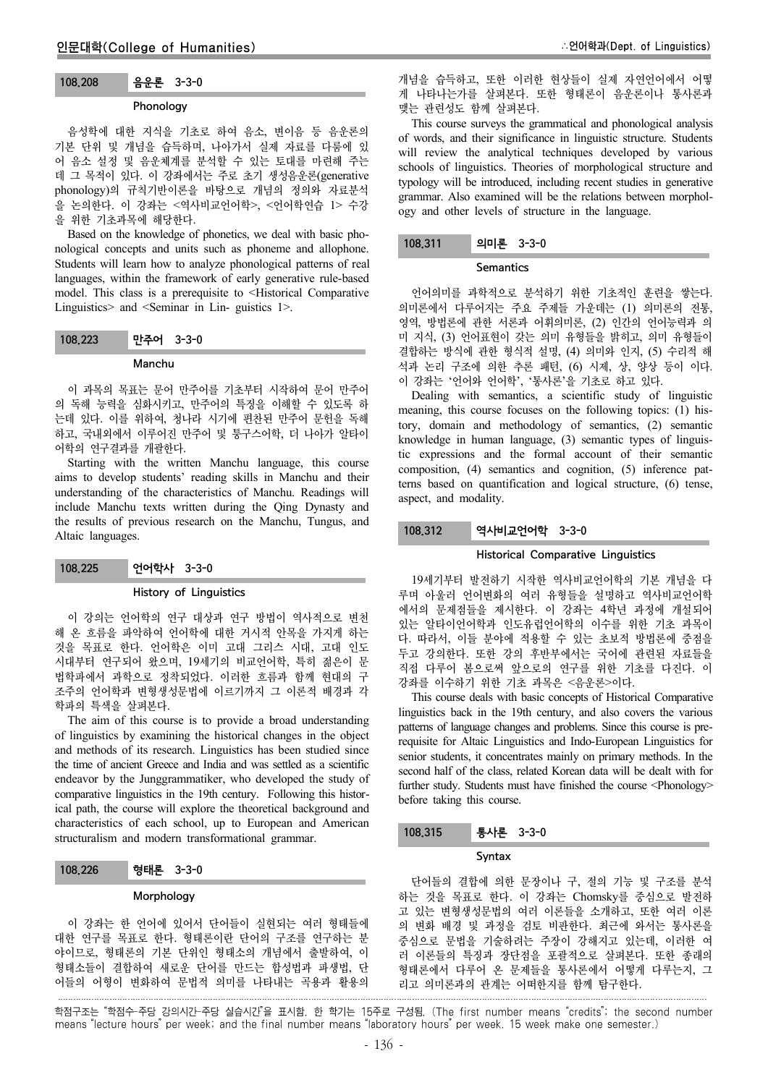# 108.208 음운론 3-3-0

# Phonology

음성학에 대한 지식을 기초로 하여 음소, 변이음 등 음운론의 기본 단위 및 개념을 습득하며, 나아가서 실제 자료를 다룸에 있 어 음소 설정 및 음운체계를 분석할 수 있는 토대를 마련해 주는 데 그 목적이 있다. 이 강좌에서는 주로 초기 생성음운론(generative phonology)의 규칙기반이론을 바탕으로 개념의 정의와 자료분석 을 논의한다. 이 강좌는 <역사비교언어학>, <언어학연습 1> 수강 을 위한 기초과목에 해당한다.

Based on the knowledge of phonetics, we deal with basic phonological concepts and units such as phoneme and allophone. Students will learn how to analyze phonological patterns of real languages, within the framework of early generative rule-based model. This class is a prerequisite to <Historical Comparative Linguistics> and <Seminar in Lin- guistics 1>.

## 108.223 만주어 3-3-0

## Manchu

이 과목의 목표는 문어 만주어를 기초부터 시작하여 문어 만주어 의 독해 능력을 심화시키고, 만주어의 특징을 이해할 수 있도록 하 는데 있다. 이를 위하여, 청나라 시기에 편찬된 만주어 문헌을 독해 하고, 국내외에서 이루어진 만주어 및 퉁구스어학, 더 나아가 알타이 어학의 연구결과를 개괄한다.

Starting with the written Manchu language, this course aims to develop students' reading skills in Manchu and their understanding of the characteristics of Manchu. Readings will include Manchu texts written during the Qing Dynasty and the results of previous research on the Manchu, Tungus, and Altaic languages.

108.225 언어학사 3-3-0

## History of Linguistics

이 강의는 언어학의 연구 대상과 연구 방법이 역사적으로 변천 해 온 흐름을 파악하여 언어학에 대한 거시적 안목을 가지게 하는 것을 목표로 한다. 언어학은 이미 고대 그리스 시대, 고대 인도 시대부터 연구되어 왔으며, 19세기의 비교언어학, 특히 젊은이 문 법학파에서 과학으로 정착되었다. 이러한 흐름과 함께 현대의 구 조주의 언어학과 변형생성문법에 이르기까지 그 이론적 배경과 각 학파의 특색을 살펴본다.

The aim of this course is to provide a broad understanding of linguistics by examining the historical changes in the object and methods of its research. Linguistics has been studied since the time of ancient Greece and India and was settled as a scientific endeavor by the Junggrammatiker, who developed the study of comparative linguistics in the 19th century. Following this historical path, the course will explore the theoretical background and characteristics of each school, up to European and American structuralism and modern transformational grammar.

# 108.226 형태론 3-3-0

# Morphology

이 강좌는 한 언어에 있어서 단어들이 실현되는 여러 형태들에 대한 연구를 목표로 한다. 형태론이란 단어의 구조를 연구하는 분 야이므로, 형태론의 기본 단위인 형태소의 개념에서 출발하여, 이 형태소들이 결합하여 새로운 단어를 만드는 합성법과 파생법, 단 어들의 어형이 변화하여 문법적 의미를 나타내는 곡용과 활용의 개념을 습득하고, 또한 이러한 현상들이 실제 자연언어에서 어떻 게 나타나는가를 살펴본다. 또한 형태론이 음운론이나 통사론과 맺는 관련성도 함께 살펴본다.

This course surveys the grammatical and phonological analysis of words, and their significance in linguistic structure. Students will review the analytical techniques developed by various schools of linguistics. Theories of morphological structure and typology will be introduced, including recent studies in generative grammar. Also examined will be the relations between morphology and other levels of structure in the language.

## 108.311 의미론 3-3-0

**Semantics** 

언어의미를 과학적으로 분석하기 위한 기초적인 훈련을 쌓는다. 의미론에서 다루어지는 주요 주제들 가운데는 (1) 의미론의 전통, 영역, 방법론에 관한 서론과 어휘의미론, (2) 인간의 언어능력과 의 미 지식, (3) 언어표현이 갖는 의미 유형들을 밝히고, 의미 유형들이 결합하는 방식에 관한 형식적 설명, (4) 의미와 인지, (5) 수리적 해 석과 논리 구조에 의한 추론 패턴, (6) 시제, 상, 양상 등이 이다. 이 강좌는 '언어와 언어학', '통사론'을 기초로 하고 있다.

Dealing with semantics, a scientific study of linguistic meaning, this course focuses on the following topics: (1) history, domain and methodology of semantics, (2) semantic knowledge in human language, (3) semantic types of linguistic expressions and the formal account of their semantic composition, (4) semantics and cognition, (5) inference patterns based on quantification and logical structure, (6) tense, aspect, and modality.

## 108.312 역사비교언어학 3-3-0

## Historical Comparative Linguistics

19세기부터 발전하기 시작한 역사비교언어학의 기본 개념을 다 루며 아울러 언어변화의 여러 유형들을 설명하고 역사비교언어학 에서의 문제점들을 제시한다. 이 강좌는 4학년 과정에 개설되어 있는 알타이언어학과 인도유럽언어학의 이수를 위한 기초 과목이 다. 따라서, 이들 분야에 적용할 수 있는 초보적 방법론에 중점을 두고 강의한다. 또한 강의 후반부에서는 국어에 관련된 자료들을 직접 다루어 봄으로써 앞으로의 연구를 위한 기초를 다진다. 이 강좌를 이수하기 위한 기초 과목은 <음운론>이다.

This course deals with basic concepts of Historical Comparative linguistics back in the 19th century, and also covers the various patterns of language changes and problems. Since this course is prerequisite for Altaic Linguistics and Indo-European Linguistics for senior students, it concentrates mainly on primary methods. In the second half of the class, related Korean data will be dealt with for further study. Students must have finished the course <Phonology> before taking this course.

## 108.315 통사론 3-3-0

## Syntax

단어들의 결합에 의한 문장이나 구, 절의 기능 및 구조를 분석 하는 것을 목표로 한다. 이 강좌는 Chomsky를 중심으로 발전하 고 있는 변형생성문법의 여러 이론들을 소개하고, 또한 여러 이론 의 변화 배경 및 과정을 검토 비판한다. 최근에 와서는 통사론을 중심으로 문법을 기술하려는 주장이 강해지고 있는데, 이러한 여 러 이론들의 특징과 장단점을 포괄적으로 살펴본다. 또한 종래의 형태론에서 다루어 온 문제들을 통사론에서 어떻게 다루는지, 그 리고 의미론과의 관계는 어떠한지를 함께 탐구한다.

학점구조는 "학점수-주당 강의시간-주당 실습시간"을 표시함. 한 학기는 15주로 구성됨. (The first number means "credits"; the second number means "lecture hours" per week; and the final number means "laboratory hours" per week. 15 week make one semester.)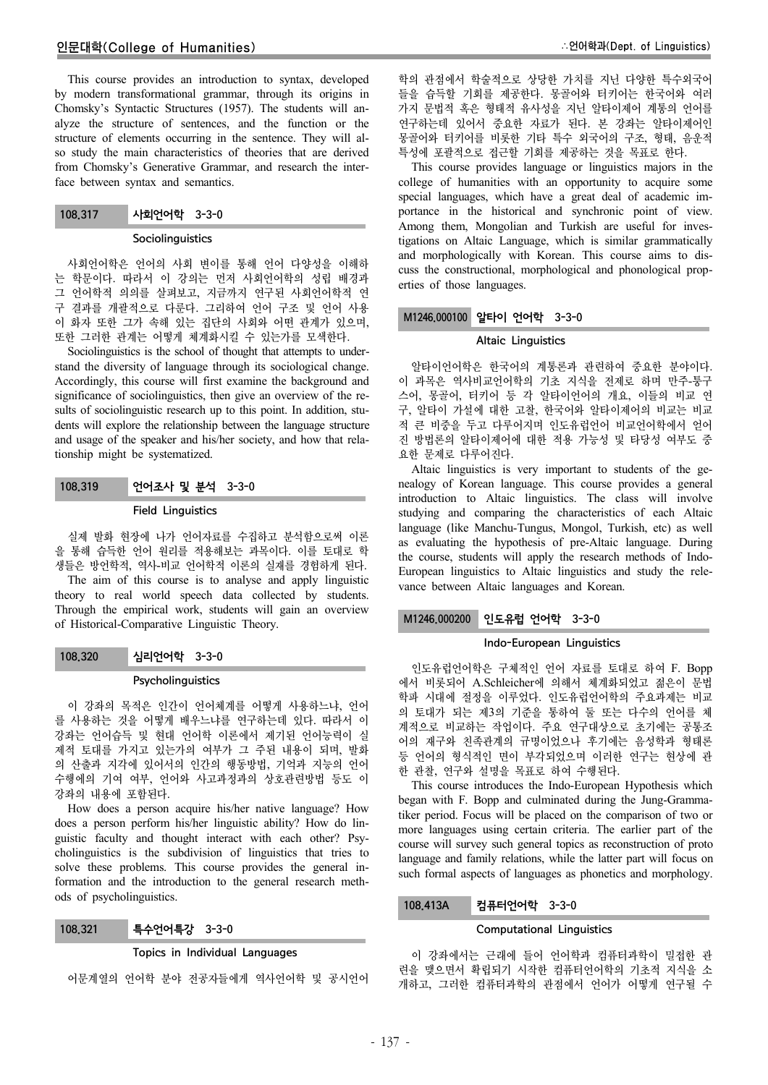This course provides an introduction to syntax, developed by modern transformational grammar, through its origins in Chomsky's Syntactic Structures (1957). The students will analyze the structure of sentences, and the function or the structure of elements occurring in the sentence. They will also study the main characteristics of theories that are derived from Chomsky's Generative Grammar, and research the interface between syntax and semantics.

| 108,317 | 사회언어학 3-3-0 |  |
|---------|-------------|--|
|---------|-------------|--|

## **Sociolinguistics**

사회언어학은 언어의 사회 변이를 통해 언어 다양성을 이해하 는 학문이다. 따라서 이 강의는 먼저 사회언어학의 성립 배경과 그 언어학적 의의를 살펴보고, 지금까지 연구된 사회언어학적 연 구 결과를 개괄적으로 다룬다. 그리하여 언어 구조 및 언어 사용 이 화자 또한 그가 속해 있는 집단의 사회와 어떤 관계가 있으며, 또한 그러한 관계는 어떻게 체계화시킬 수 있는가를 모색한다.

Sociolinguistics is the school of thought that attempts to understand the diversity of language through its sociological change. Accordingly, this course will first examine the background and significance of sociolinguistics, then give an overview of the results of sociolinguistic research up to this point. In addition, students will explore the relationship between the language structure and usage of the speaker and his/her society, and how that relationship might be systematized.

# 108.319 언어조사 및 분석 3-3-0

## Field Linguistics

실제 발화 현장에 나가 언어자료를 수집하고 분석함으로써 이론 을 통해 습득한 언어 원리를 적용해보는 과목이다. 이를 토대로 학 생들은 방언학적, 역사-비교 언어학적 이론의 실재를 경험하게 된다.

The aim of this course is to analyse and apply linguistic theory to real world speech data collected by students. Through the empirical work, students will gain an overview of Historical-Comparative Linguistic Theory.

108.320 심리언어학 3-3-0

## **Psycholinguistics**

이 강좌의 목적은 인간이 언어체계를 어떻게 사용하느냐, 언어 를 사용하는 것을 어떻게 배우느냐를 연구하는데 있다. 따라서 이 강좌는 언어습득 및 현대 언어학 이론에서 제기된 언어능력이 실 제적 토대를 가지고 있는가의 여부가 그 주된 내용이 되며, 발화 의 산출과 지각에 있어서의 인간의 행동방법, 기억과 지능의 언어 수행에의 기여 여부, 언어와 사고과정과의 상호관련방법 등도 이 강좌의 내용에 포함된다.

How does a person acquire his/her native language? How does a person perform his/her linguistic ability? How do linguistic faculty and thought interact with each other? Psycholinguistics is the subdivision of linguistics that tries to solve these problems. This course provides the general information and the introduction to the general research methods of psycholinguistics.

| 108,321 | 특수언어특강 3-3-0 |  |
|---------|--------------|--|
|---------|--------------|--|

## Topics in Individual Languages

어문계열의 언어학 분야 전공자들에게 역사언어학 및 공시언어

학의 관점에서 학술적으로 상당한 가치를 지닌 다양한 특수외국어 들을 습득할 기회를 제공한다. 몽골어와 터키어는 한국어와 여러 가지 문법적 혹은 형태적 유사성을 지닌 알타이제어 계통의 언어를 연구하는데 있어서 중요한 자료가 된다. 본 강좌는 알타이제어인 몽골어와 터키어를 비롯한 기타 특수 외국어의 구조, 형태, 음운적 특성에 포괄적으로 접근할 기회를 제공하는 것을 목표로 한다.

This course provides language or linguistics majors in the college of humanities with an opportunity to acquire some special languages, which have a great deal of academic importance in the historical and synchronic point of view. Among them, Mongolian and Turkish are useful for investigations on Altaic Language, which is similar grammatically and morphologically with Korean. This course aims to discuss the constructional, morphological and phonological properties of those languages.

# M1246.000100 알타이 언어학 3-3-0

## Altaic Linguistics

알타이언어학은 한국어의 계통론과 관련하여 중요한 분야이다. 이 과목은 역사비교언어학의 기초 지식을 전제로 하며 만주-퉁구 스어, 몽골어, 터키어 등 각 알타이언어의 개요, 이들의 비교 연 구, 알타이 가설에 대한 고찰, 한국어와 알타이제어의 비교는 비교 적 큰 비중을 두고 다루어지며 인도유럽언어 비교언어학에서 얻어 진 방법론의 알타이제어에 대한 적용 가능성 및 타당성 여부도 중 요한 문제로 다루어진다.

Altaic linguistics is very important to students of the genealogy of Korean language. This course provides a general introduction to Altaic linguistics. The class will involve studying and comparing the characteristics of each Altaic language (like Manchu-Tungus, Mongol, Turkish, etc) as well as evaluating the hypothesis of pre-Altaic language. During the course, students will apply the research methods of Indo-European linguistics to Altaic linguistics and study the relevance between Altaic languages and Korean.

## M1246.000200 인도유럽 언어학 3-3-0

## Indo-European Linguistics

인도유럽언어학은 구체적인 언어 자료를 토대로 하여 F. Bopp 에서 비롯되어 A.Schleicher에 의해서 체계화되었고 젊은이 문법 학파 시대에 절정을 이루었다. 인도유럽언어학의 주요과제는 비교 의 토대가 되는 제3의 기준을 통하여 둘 또는 다수의 언어를 체 계적으로 비교하는 작업이다. 주요 연구대상으로 초기에는 공통조 어의 재구와 친족관계의 규명이었으나 후기에는 음성학과 형태론 등 언어의 형식적인 면이 부각되었으며 이러한 연구는 현상에 관 한 관찰, 연구와 설명을 목표로 하여 수행된다.

This course introduces the Indo-European Hypothesis which began with F. Bopp and culminated during the Jung-Grammatiker period. Focus will be placed on the comparison of two or more languages using certain criteria. The earlier part of the course will survey such general topics as reconstruction of proto language and family relations, while the latter part will focus on such formal aspects of languages as phonetics and morphology.

## 108.413A 컴퓨터언어학 3-3-0

## Computational Linguistics

이 강좌에서는 근래에 들어 언어학과 컴퓨터과학이 밀접한 관 련을 맺으면서 확립되기 시작한 컴퓨터언어학의 기초적 지식을 소 개하고, 그러한 컴퓨터과학의 관점에서 언어가 어떻게 연구될 수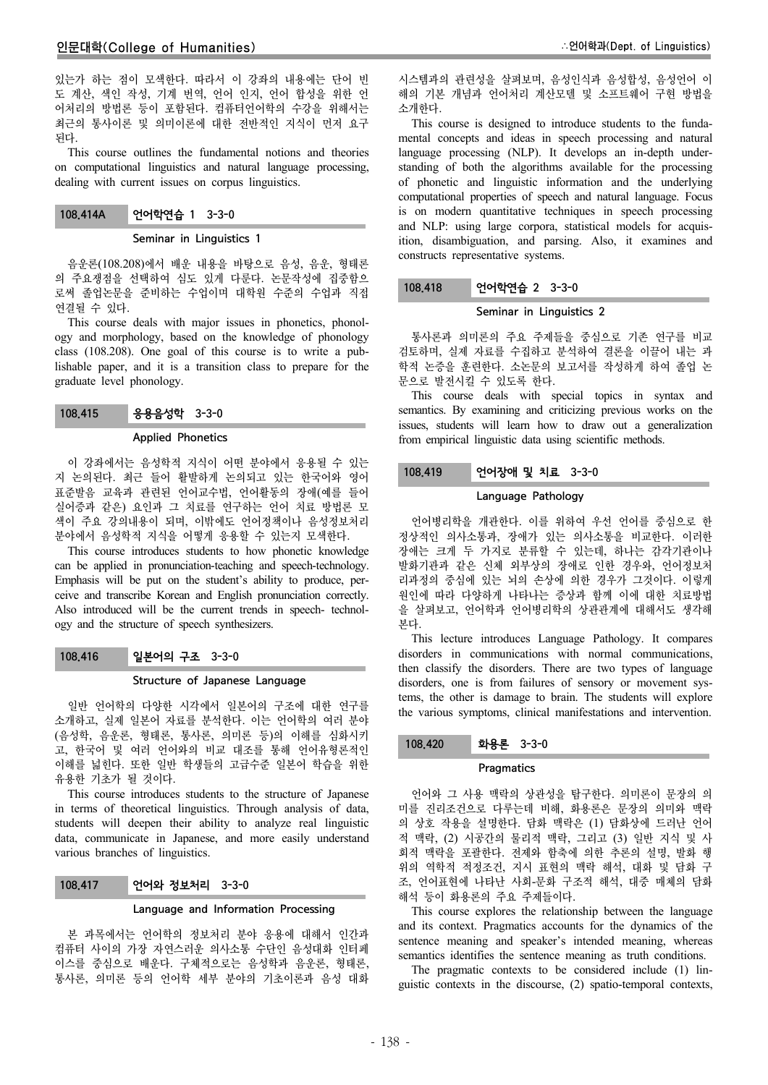있는가 하는 점이 모색한다. 따라서 이 강좌의 내용에는 단어 빈 도 계산, 색인 작성, 기계 번역, 언어 인지, 언어 합성을 위한 언 어처리의 방법론 등이 포함된다. 컴퓨터언어학의 수강을 위해서는 최근의 통사이론 및 의미이론에 대한 전반적인 지식이 먼저 요구 된다.

This course outlines the fundamental notions and theories on computational linguistics and natural language processing, dealing with current issues on corpus linguistics.

| 108,414A | 언어학연습 1 3-3-0 |  |
|----------|---------------|--|
|----------|---------------|--|

## Seminar in Linguistics 1

음운론(108.208)에서 배운 내용을 바탕으로 음성, 음운, 형태론 의 주요쟁점을 선택하여 심도 있게 다룬다. 논문작성에 집중함으 로써 졸업논문을 준비하는 수업이며 대학원 수준의 수업과 직접 연결될 수 있다.

This course deals with major issues in phonetics, phonology and morphology, based on the knowledge of phonology class (108.208). One goal of this course is to write a publishable paper, and it is a transition class to prepare for the graduate level phonology.

## Applied Phonetics

이 강좌에서는 음성학적 지식이 어떤 분야에서 응용될 수 있는 지 논의된다. 최근 들어 활발하게 논의되고 있는 한국어와 영어 표준발음 교육과 관련된 언어교수법, 언어활동의 장애(예를 들어 실어증과 같은) 요인과 그 치료를 연구하는 언어 치료 방법론 모 색이 주요 강의내용이 되며, 이밖에도 언어정책이나 음성정보처리 분야에서 음성학적 지식을 어떻게 응용할 수 있는지 모색한다.

This course introduces students to how phonetic knowledge can be applied in pronunciation-teaching and speech-technology. Emphasis will be put on the student's ability to produce, perceive and transcribe Korean and English pronunciation correctly. Also introduced will be the current trends in speech- technology and the structure of speech synthesizers.

## 108.416 일본어의 구조 3-3-0

## Structure of Japanese Language

일반 언어학의 다양한 시각에서 일본어의 구조에 대한 연구를 소개하고, 실제 일본어 자료를 분석한다. 이는 언어학의 여러 분야 (음성학, 음운론, 형태론, 통사론, 의미론 등)의 이해를 심화시키 고, 한국어 및 여러 언어와의 비교 대조를 통해 언어유형론적인 이해를 넓힌다. 또한 일반 학생들의 고급수준 일본어 학습을 위한 유용한 기초가 될 것이다.

This course introduces students to the structure of Japanese in terms of theoretical linguistics. Through analysis of data, students will deepen their ability to analyze real linguistic data, communicate in Japanese, and more easily understand various branches of linguistics.

## 108.417 언어와 정보처리 3-3-0

#### Language and Information Processing

본 과목에서는 언어학의 정보처리 분야 응용에 대해서 인간과 컴퓨터 사이의 가장 자연스러운 의사소통 수단인 음성대화 인터페 이스를 중심으로 배운다. 구체적으로는 음성학과 음운론, 형태론, 통사론, 의미론 등의 언어학 세부 분야의 기초이론과 음성 대화

시스템과의 관련성을 살펴보며, 음성인식과 음성합성, 음성언어 이 해의 기본 개념과 언어처리 계산모델 및 소프트웨어 구현 방법을 소개한다.

This course is designed to introduce students to the fundamental concepts and ideas in speech processing and natural language processing (NLP). It develops an in-depth understanding of both the algorithms available for the processing of phonetic and linguistic information and the underlying computational properties of speech and natural language. Focus is on modern quantitative techniques in speech processing and NLP: using large corpora, statistical models for acquisition, disambiguation, and parsing. Also, it examines and constructs representative systems.

## 108.418 언어학연습 2 3-3-0

## Seminar in Linguistics 2

통사론과 의미론의 주요 주제들을 중심으로 기존 연구를 비교 검토하며, 실제 자료를 수집하고 분석하여 결론을 이끌어 내는 과 학적 논증을 훈련한다. 소논문의 보고서를 작성하게 하여 졸업 논 문으로 발전시킬 수 있도록 한다.

This course deals with special topics in syntax and semantics. By examining and criticizing previous works on the issues, students will learn how to draw out a generalization from empirical linguistic data using scientific methods.

## 108.419 언어장애 및 치료 3-3-0

#### Language Pathology

언어병리학을 개관한다. 이를 위하여 우선 언어를 중심으로 한 정상적인 의사소통과, 장애가 있는 의사소통을 비교한다. 이러한 장애는 크게 두 가지로 분류할 수 있는데, 하나는 감각기관이나 발화기관과 같은 신체 외부상의 장애로 인한 경우와, 언어정보처 리과정의 중심에 있는 뇌의 손상에 의한 경우가 그것이다. 이렇게 원인에 따라 다양하게 나타나는 증상과 함께 이에 대한 치료방법 을 살펴보고, 언어학과 언어병리학의 상관관계에 대해서도 생각해 본다.

This lecture introduces Language Pathology. It compares disorders in communications with normal communications, then classify the disorders. There are two types of language disorders, one is from failures of sensory or movement systems, the other is damage to brain. The students will explore the various symptoms, clinical manifestations and intervention.

## 108.420 화용론 3-3-0

#### **Pragmatics**

언어와 그 사용 맥락의 상관성을 탐구한다. 의미론이 문장의 의 미를 진리조건으로 다루는데 비해, 화용론은 문장의 의미와 맥락 의 상호 작용을 설명한다. 담화 맥락은 (1) 담화상에 드러난 언어 적 맥락, (2) 시공간의 물리적 맥락, 그리고 (3) 일반 지식 및 사 회적 맥락을 포괄한다. 전제와 함축에 의한 추론의 설명, 발화 행 위의 역학적 적정조건, 지시 표현의 맥락 해석, 대화 및 담화 구 조, 언어표현에 나타난 사회-문화 구조적 해석, 대중 매체의 담화 해석 등이 화용론의 주요 주제들이다.

This course explores the relationship between the language and its context. Pragmatics accounts for the dynamics of the sentence meaning and speaker's intended meaning, whereas semantics identifies the sentence meaning as truth conditions.

The pragmatic contexts to be considered include (1) linguistic contexts in the discourse, (2) spatio-temporal contexts,